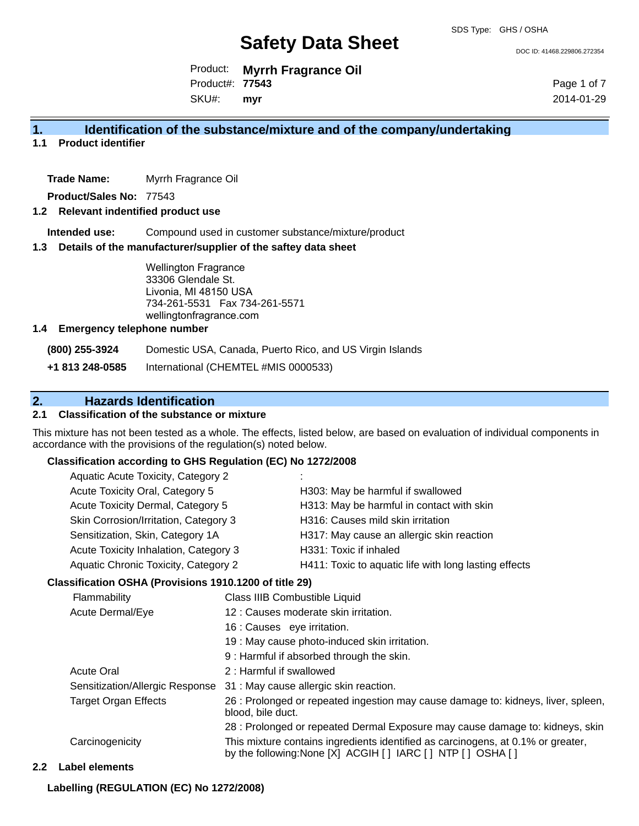DOC ID: 41468.229806.272354

Product: **Myrrh Fragrance Oil** SKU#: Product#: **77543 myr**

Page 1 of 7 2014-01-29

#### **1. Identification of the substance/mixture and of the company/undertaking**

**1.1 Product identifier**

**Trade Name:** Myrrh Fragrance Oil

**Product/Sales No:** 77543

#### **1.2 Relevant indentified product use**

**Intended use:** Compound used in customer substance/mixture/product

#### **1.3 Details of the manufacturer/supplier of the saftey data sheet**

Wellington Fragrance 33306 Glendale St. Livonia, MI 48150 USA 734-261-5531 Fax 734-261-5571 wellingtonfragrance.com

#### **1.4 Emergency telephone number**

**(800) 255-3924** Domestic USA, Canada, Puerto Rico, and US Virgin Islands

**+1 813 248-0585** International (CHEMTEL #MIS 0000533)

### **2. Hazards Identification**

#### **2.1 Classification of the substance or mixture**

This mixture has not been tested as a whole. The effects, listed below, are based on evaluation of individual components in accordance with the provisions of the regulation(s) noted below.

#### **Classification according to GHS Regulation (EC) No 1272/2008**

| Aquatic Acute Toxicity, Category 2    |                                                       |
|---------------------------------------|-------------------------------------------------------|
| Acute Toxicity Oral, Category 5       | H303: May be harmful if swallowed                     |
| Acute Toxicity Dermal, Category 5     | H313: May be harmful in contact with skin             |
| Skin Corrosion/Irritation, Category 3 | H316: Causes mild skin irritation                     |
| Sensitization, Skin, Category 1A      | H317: May cause an allergic skin reaction             |
| Acute Toxicity Inhalation, Category 3 | H331: Toxic if inhaled                                |
| Aquatic Chronic Toxicity, Category 2  | H411: Toxic to aquatic life with long lasting effects |
|                                       |                                                       |

#### **Classification OSHA (Provisions 1910.1200 of title 29)**

| Flammability                    | Class IIIB Combustible Liquid                                                                                                                      |
|---------------------------------|----------------------------------------------------------------------------------------------------------------------------------------------------|
| Acute Dermal/Eye                | 12 : Causes moderate skin irritation.                                                                                                              |
|                                 | 16 : Causes eye irritation.                                                                                                                        |
|                                 | 19 : May cause photo-induced skin irritation.                                                                                                      |
|                                 | 9: Harmful if absorbed through the skin.                                                                                                           |
| <b>Acute Oral</b>               | 2: Harmful if swallowed                                                                                                                            |
| Sensitization/Allergic Response | 31 : May cause allergic skin reaction.                                                                                                             |
| <b>Target Organ Effects</b>     | 26 : Prolonged or repeated ingestion may cause damage to: kidneys, liver, spleen,<br>blood, bile duct.                                             |
|                                 | 28 : Prolonged or repeated Dermal Exposure may cause damage to: kidneys, skin                                                                      |
| Carcinogenicity                 | This mixture contains ingredients identified as carcinogens, at 0.1% or greater,<br>by the following: None [X] ACGIH [ ] IARC [ ] NTP [ ] OSHA [ ] |

#### **2.2 Label elements**

**Labelling (REGULATION (EC) No 1272/2008)**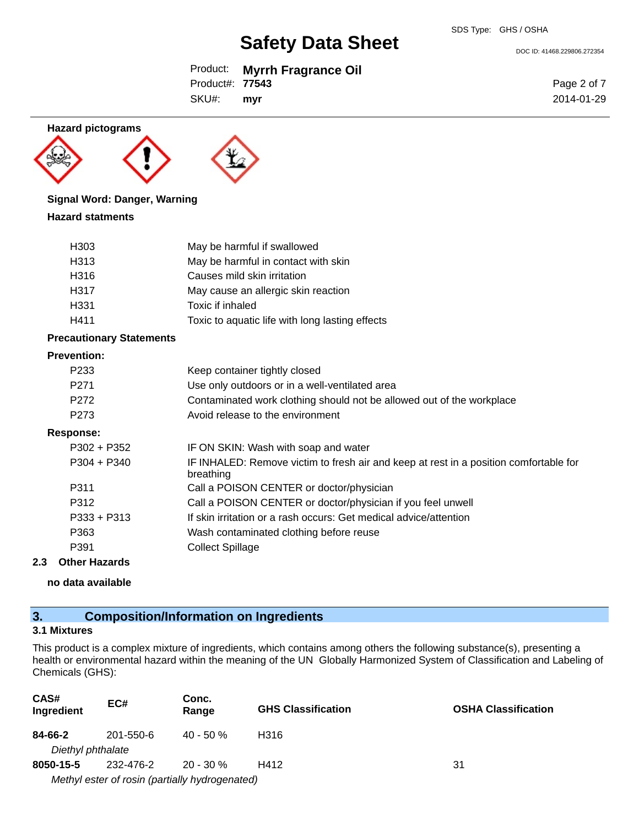DOC ID: 41468.229806.272354

## Product: **Myrrh Fragrance Oil**

Product#: **77543**

SKU#: **myr**



#### **Signal Word: Danger, Warning**

#### **Hazard statments**

| H303             | May be harmful if swallowed                     |
|------------------|-------------------------------------------------|
| H313             | May be harmful in contact with skin             |
| H316             | Causes mild skin irritation                     |
| H317             | May cause an allergic skin reaction             |
| H <sub>331</sub> | Toxic if inhaled                                |
| H411             | Toxic to aquatic life with long lasting effects |

#### **Precautionary Statements**

#### **Prevention:**

| P <sub>2</sub> 33 | Keep container tightly closed                                                                      |
|-------------------|----------------------------------------------------------------------------------------------------|
| P <sub>271</sub>  | Use only outdoors or in a well-ventilated area                                                     |
| P <sub>272</sub>  | Contaminated work clothing should not be allowed out of the workplace                              |
| P273              | Avoid release to the environment                                                                   |
| <b>Response:</b>  |                                                                                                    |
| $P302 + P352$     | IF ON SKIN: Wash with soap and water                                                               |
| $P304 + P340$     | IF INHALED: Remove victim to fresh air and keep at rest in a position comfortable for<br>breathing |
| P311              | Call a POISON CENTER or doctor/physician                                                           |
| P312              | Call a POISON CENTER or doctor/physician if you feel unwell                                        |
| $P333 + P313$     | If skin irritation or a rash occurs: Get medical advice/attention                                  |
| P363              | Wash contaminated clothing before reuse                                                            |
| P391              | <b>Collect Spillage</b>                                                                            |
|                   |                                                                                                    |

#### **2.3 Other Hazards**

**no data available**

## **3. Composition/Information on Ingredients**

#### **3.1 Mixtures**

This product is a complex mixture of ingredients, which contains among others the following substance(s), presenting a health or environmental hazard within the meaning of the UN Globally Harmonized System of Classification and Labeling of Chemicals (GHS):

| CAS#<br>Ingredient | EC#                                            | Conc.<br>Range | <b>GHS Classification</b> | <b>OSHA Classification</b> |
|--------------------|------------------------------------------------|----------------|---------------------------|----------------------------|
| 84-66-2            | 201-550-6                                      | $40 - 50%$     | H316                      |                            |
| Diethyl phthalate  |                                                |                |                           |                            |
| 8050-15-5          | 232-476-2                                      | $20 - 30 \%$   | H412                      | 31                         |
|                    | Methyl ester of rosin (partially hydrogenated) |                |                           |                            |

Page 2 of 7 2014-01-29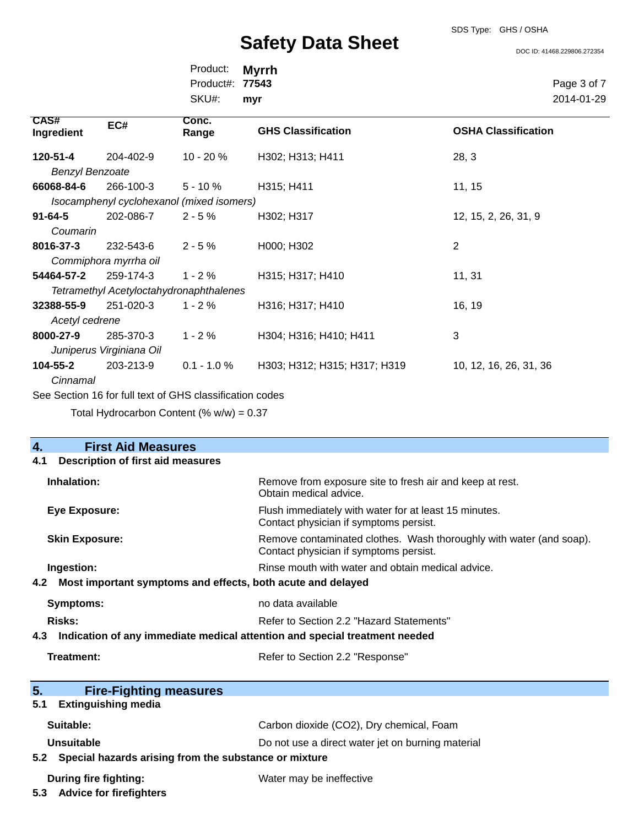## SDS Type: GHS / OSHA

**Safety Data Sheet**

DOC ID: 41468.229806.272354

| Product:               | <b>Myrrh</b> |
|------------------------|--------------|
| Product#: <b>77543</b> |              |
| SKU#:                  | myr          |

Page 3 of 7 2014-01-29

| <b>CAS#</b>            |                                                          | Conc.          |                              |                            |
|------------------------|----------------------------------------------------------|----------------|------------------------------|----------------------------|
| Ingredient             | EC#                                                      | Range          | <b>GHS Classification</b>    | <b>OSHA Classification</b> |
|                        |                                                          |                |                              |                            |
| 120-51-4               | 204-402-9                                                | $10 - 20%$     | H302; H313; H411             | 28, 3                      |
| <b>Benzyl Benzoate</b> |                                                          |                |                              |                            |
| 66068-84-6             | 266-100-3                                                | $5 - 10 \%$    | H315; H411                   | 11, 15                     |
|                        | Isocamphenyl cyclohexanol (mixed isomers)                |                |                              |                            |
| $91 - 64 - 5$          | 202-086-7                                                | $2 - 5%$       | H302; H317                   | 12, 15, 2, 26, 31, 9       |
| Coumarin               |                                                          |                |                              |                            |
| 8016-37-3              | 232-543-6                                                | $2 - 5%$       | H000; H302                   | 2                          |
|                        | Commiphora myrrha oil                                    |                |                              |                            |
| 54464-57-2             | 259-174-3                                                | $1 - 2%$       | H315; H317; H410             | 11, 31                     |
|                        | <b>Tetramethyl Acetyloctahydronaphthalenes</b>           |                |                              |                            |
| 32388-55-9             | 251-020-3                                                | $1 - 2%$       | H316; H317; H410             | 16, 19                     |
| Acetyl cedrene         |                                                          |                |                              |                            |
| 8000-27-9              | 285-370-3                                                | $1 - 2%$       | H304; H316; H410; H411       | 3                          |
|                        | Juniperus Virginiana Oil                                 |                |                              |                            |
| 104-55-2               | 203-213-9                                                | $0.1 - 1.0 \%$ | H303; H312; H315; H317; H319 | 10, 12, 16, 26, 31, 36     |
| Cinnamal               |                                                          |                |                              |                            |
|                        | See Section 16 for full text of GHS classification codes |                |                              |                            |

Total Hydrocarbon Content  $(% \mathcal{O}_{N})$  = 0.37

| <b>First Aid Measures</b><br>4.                                                   |                                                                                                               |
|-----------------------------------------------------------------------------------|---------------------------------------------------------------------------------------------------------------|
| <b>Description of first aid measures</b><br>4.1                                   |                                                                                                               |
| Inhalation:                                                                       | Remove from exposure site to fresh air and keep at rest.<br>Obtain medical advice.                            |
| <b>Eye Exposure:</b>                                                              | Flush immediately with water for at least 15 minutes.<br>Contact physician if symptoms persist.               |
| <b>Skin Exposure:</b>                                                             | Remove contaminated clothes. Wash thoroughly with water (and soap).<br>Contact physician if symptoms persist. |
| Ingestion:                                                                        | Rinse mouth with water and obtain medical advice.                                                             |
| Most important symptoms and effects, both acute and delayed<br>4.2                |                                                                                                               |
| <b>Symptoms:</b>                                                                  | no data available                                                                                             |
| Risks:<br>Refer to Section 2.2 "Hazard Statements"                                |                                                                                                               |
| Indication of any immediate medical attention and special treatment needed<br>4.3 |                                                                                                               |
| Treatment:                                                                        | Refer to Section 2.2 "Response"                                                                               |
| 5.<br><b>Fire-Fighting measures</b>                                               |                                                                                                               |
| <b>Extinguishing media</b><br>5.1                                                 |                                                                                                               |
| Suitable:                                                                         | Carbon dioxide (CO2), Dry chemical, Foam                                                                      |
| Unsuitable<br>5.2 Special hazards arising from the substance or mixture           | Do not use a direct water jet on burning material                                                             |
| During fire fighting:<br>5.3 Advice for firefighters                              | Water may be ineffective                                                                                      |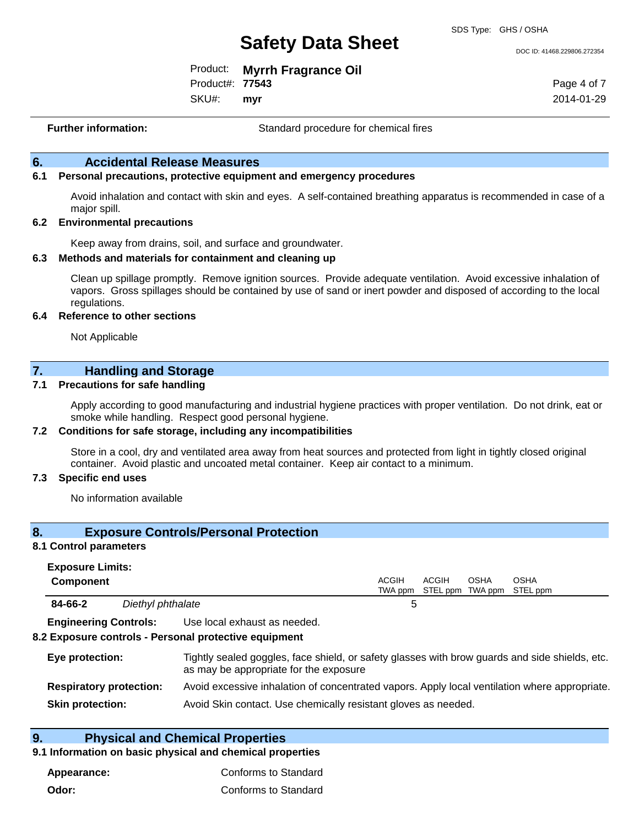DOC ID: 41468.229806.272354

Product: **Myrrh Fragrance Oil** Product#: **77543**

SKU#: **myr** Page 4 of 7 2014-01-29

**Further information:** Standard procedure for chemical fires

#### **6. Accidental Release Measures**

#### **6.1 Personal precautions, protective equipment and emergency procedures**

Avoid inhalation and contact with skin and eyes. A self-contained breathing apparatus is recommended in case of a major spill.

#### **6.2 Environmental precautions**

Keep away from drains, soil, and surface and groundwater.

#### **6.3 Methods and materials for containment and cleaning up**

Clean up spillage promptly. Remove ignition sources. Provide adequate ventilation. Avoid excessive inhalation of vapors. Gross spillages should be contained by use of sand or inert powder and disposed of according to the local regulations.

#### **6.4 Reference to other sections**

Not Applicable

## **7. Handling and Storage**

#### **7.1 Precautions for safe handling**

Apply according to good manufacturing and industrial hygiene practices with proper ventilation. Do not drink, eat or smoke while handling. Respect good personal hygiene.

#### **7.2 Conditions for safe storage, including any incompatibilities**

Store in a cool, dry and ventilated area away from heat sources and protected from light in tightly closed original container. Avoid plastic and uncoated metal container. Keep air contact to a minimum.

#### **7.3 Specific end uses**

No information available

#### **8. Exposure Controls/Personal Protection**

#### **8.1 Control parameters**

| <b>Exposure Limits:</b>      |                   |                              |       |       |             |                                                  |
|------------------------------|-------------------|------------------------------|-------|-------|-------------|--------------------------------------------------|
| <b>Component</b>             |                   |                              | ACGIH | ACGIH | <b>OSHA</b> | <b>OSHA</b><br>TWA ppm STEL ppm TWA ppm STEL ppm |
| 84-66-2                      | Diethyl phthalate |                              |       |       |             |                                                  |
| <b>Engineering Controls:</b> |                   | Use local exhaust as needed. |       |       |             |                                                  |

#### **8.2 Exposure controls - Personal protective equipment**

| Eye protection:                | Tightly sealed goggles, face shield, or safety glasses with brow guards and side shields, etc.<br>as may be appropriate for the exposure |
|--------------------------------|------------------------------------------------------------------------------------------------------------------------------------------|
| <b>Respiratory protection:</b> | Avoid excessive inhalation of concentrated vapors. Apply local ventilation where appropriate.                                            |
| <b>Skin protection:</b>        | Avoid Skin contact. Use chemically resistant gloves as needed.                                                                           |

#### **9. Physical and Chemical Properties**

#### **9.1 Information on basic physical and chemical properties**

| Appearance: | Conforms to Standard |
|-------------|----------------------|
| Odor:       | Conforms to Standard |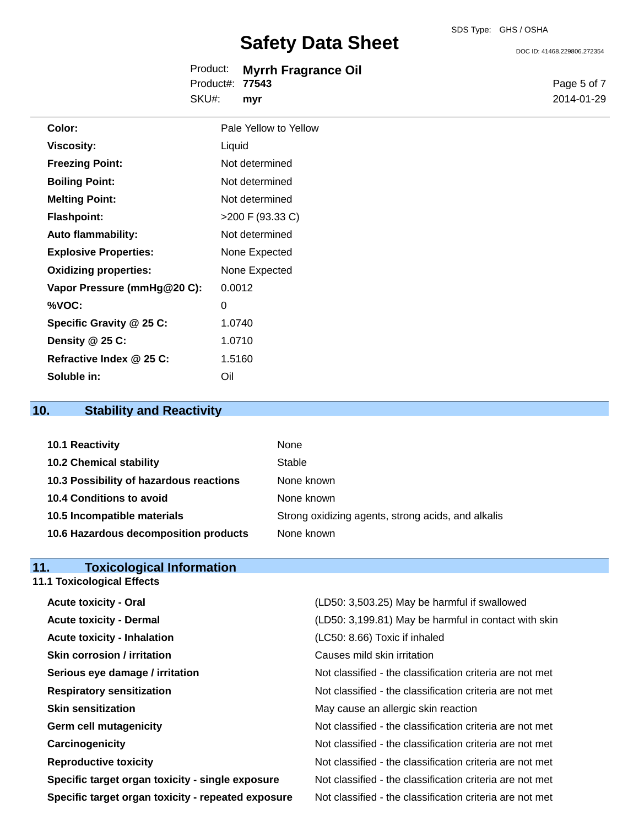DOC ID: 41468.229806.272354

|                        | Product: Myrrh Fragrance Oil |
|------------------------|------------------------------|
| Product#: <b>77543</b> |                              |
| SKU#:                  | myr                          |

Page 5 of 7 2014-01-29

| Color:                       | Pale Yellow to Yellow |
|------------------------------|-----------------------|
| <b>Viscosity:</b>            | Liquid                |
| <b>Freezing Point:</b>       | Not determined        |
| <b>Boiling Point:</b>        | Not determined        |
| <b>Melting Point:</b>        | Not determined        |
| <b>Flashpoint:</b>           | >200 F (93.33 C)      |
| <b>Auto flammability:</b>    | Not determined        |
| <b>Explosive Properties:</b> | None Expected         |
| <b>Oxidizing properties:</b> | None Expected         |
| Vapor Pressure (mmHg@20 C):  | 0.0012                |
| %VOC:                        | 0                     |
| Specific Gravity @ 25 C:     | 1.0740                |
| Density @ 25 C:              | 1.0710                |
| Refractive Index @ 25 C:     | 1.5160                |
| Soluble in:                  | Oil                   |

## **10. Stability and Reactivity**

| 10.1 Reactivity                         | None                                               |
|-----------------------------------------|----------------------------------------------------|
| <b>10.2 Chemical stability</b>          | Stable                                             |
| 10.3 Possibility of hazardous reactions | None known                                         |
| 10.4 Conditions to avoid                | None known                                         |
| 10.5 Incompatible materials             | Strong oxidizing agents, strong acids, and alkalis |
| 10.6 Hazardous decomposition products   | None known                                         |

## **11. Toxicological Information 11.1 Toxicological Effects**

| <b>Acute toxicity - Oral</b>                       | (LD50: 3,503.25) May be harmful if swallowed             |
|----------------------------------------------------|----------------------------------------------------------|
| <b>Acute toxicity - Dermal</b>                     | (LD50: 3,199.81) May be harmful in contact with skin     |
| <b>Acute toxicity - Inhalation</b>                 | (LC50: 8.66) Toxic if inhaled                            |
| <b>Skin corrosion / irritation</b>                 | Causes mild skin irritation                              |
| Serious eye damage / irritation                    | Not classified - the classification criteria are not met |
| <b>Respiratory sensitization</b>                   | Not classified - the classification criteria are not met |
| <b>Skin sensitization</b>                          | May cause an allergic skin reaction                      |
| <b>Germ cell mutagenicity</b>                      | Not classified - the classification criteria are not met |
| Carcinogenicity                                    | Not classified - the classification criteria are not met |
| <b>Reproductive toxicity</b>                       | Not classified - the classification criteria are not met |
| Specific target organ toxicity - single exposure   | Not classified - the classification criteria are not met |
| Specific target organ toxicity - repeated exposure | Not classified - the classification criteria are not met |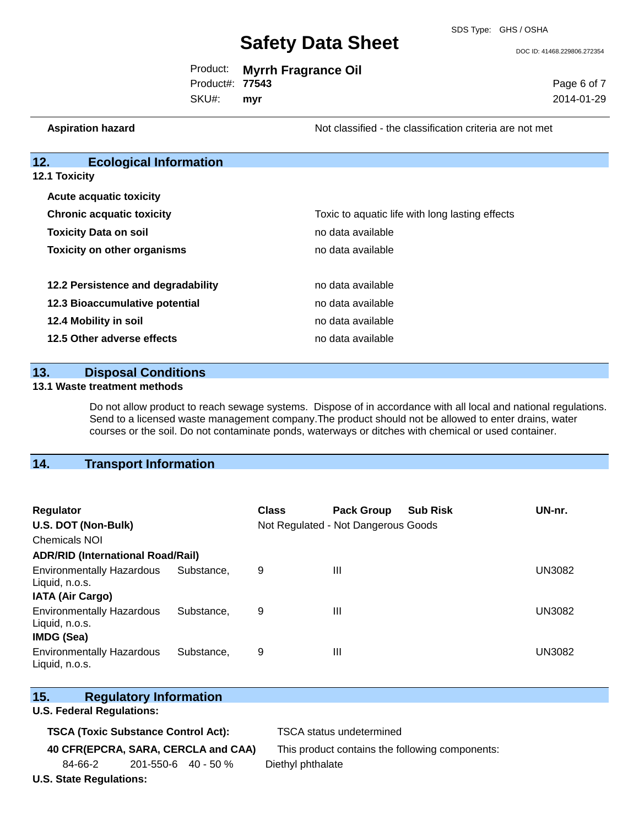DOC ID: 41468.229806.272354

Page 6 of 7 2014-01-29

|                        | Product: Myrrh Fragrance Oil |
|------------------------|------------------------------|
| Product#: <b>77543</b> |                              |

SKU#: **myr**

**Aspiration hazard Not classified - the classification criteria are not met** Not classified - the classification criteria are not met

| 12.<br><b>Ecological Information</b> |
|--------------------------------------|
|--------------------------------------|

**12.1 Toxicity**

| <b>Acute acquatic toxicity</b>     |                                                 |
|------------------------------------|-------------------------------------------------|
| <b>Chronic acquatic toxicity</b>   | Toxic to aquatic life with long lasting effects |
| <b>Toxicity Data on soil</b>       | no data available                               |
| <b>Toxicity on other organisms</b> | no data available                               |
|                                    |                                                 |
| 12.2 Persistence and degradability | no data available                               |
| 12.3 Bioaccumulative potential     | no data available                               |
| 12.4 Mobility in soil              | no data available                               |
| 12.5 Other adverse effects         | no data available                               |

#### **13. Disposal Conditions**

#### **13.1 Waste treatment methods**

Do not allow product to reach sewage systems. Dispose of in accordance with all local and national regulations. Send to a licensed waste management company.The product should not be allowed to enter drains, water courses or the soil. Do not contaminate ponds, waterways or ditches with chemical or used container.

#### **14. Transport Information**

| <b>Regulator</b>                                                        |                                          | <b>Class</b> | <b>Pack Group</b>                   | <b>Sub Risk</b> | UN-nr.        |  |
|-------------------------------------------------------------------------|------------------------------------------|--------------|-------------------------------------|-----------------|---------------|--|
| U.S. DOT (Non-Bulk)                                                     |                                          |              | Not Regulated - Not Dangerous Goods |                 |               |  |
| <b>Chemicals NOI</b>                                                    |                                          |              |                                     |                 |               |  |
|                                                                         | <b>ADR/RID (International Road/Rail)</b> |              |                                     |                 |               |  |
| <b>Environmentally Hazardous</b><br>Liquid, n.o.s.                      | Substance.                               | 9            | Ш                                   |                 | <b>UN3082</b> |  |
| <b>IATA (Air Cargo)</b>                                                 |                                          |              |                                     |                 |               |  |
| <b>Environmentally Hazardous</b><br>Liquid, n.o.s.<br><b>IMDG (Sea)</b> | Substance.                               | 9            | Ш                                   |                 | <b>UN3082</b> |  |
| <b>Environmentally Hazardous</b><br>Liquid, n.o.s.                      | Substance.                               | 9            | Ш                                   |                 | UN3082        |  |

| 15. | <b>Regulatory Information</b> |
|-----|-------------------------------|
|     |                               |

#### **U.S. Federal Regulations:**

**TSCA (Toxic Substance Control Act):** TSCA status undetermined

**40 CFR(EPCRA, SARA, CERCLA and CAA)** This product contains the following components:

84-66-2 201-550-6 40 - 50 % Diethyl phthalate

**U.S. State Regulations:**